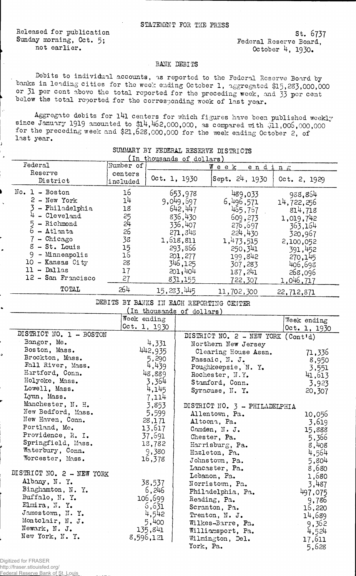Released for publication Sunday morning, Oct. 5: not earlier.

st. 6737 Federal Reserve Board, October 4, 1930.

## BANK DEBITS

Debits to individual accounts, as reported to the Federal Reserve Board by banks in leading cities for the week ending October 1, aggregated \$15,233,000,000 or 31 per cent above the total reported for the preceding week, and 33 per cent below the total reported for the corresponding week of last year.

Aggregate debits for l4l centers for which figures have been published weekly since January 1919 amounted to  $$14,462,000,000$ , as compared with  $$11,006,000,000$ for the preceding week and \$21,623,000,000 for the week ending October 2, of last year.

| In thousands of dollars) |                     |              |                |              |  |
|--------------------------|---------------------|--------------|----------------|--------------|--|
| Federal                  | Number of           |              | Wеек<br>ending |              |  |
| Reserve<br>District      | centers<br>included | Oct. 1, 1930 | Sept. 24, 1930 | Oct. 2, 1929 |  |
| $No. 1 - Boston$         | 16                  | 653,978      | 489,033        | 988,854      |  |
| $2$ - New York           | 14                  | 9,049,697    | 6,496,571      | 14,722,256   |  |
| - Philadelphia           | 18                  | 642.447      | 465,767        | 814,718      |  |
| $4$ - Cleveland          | 25                  | 836,430      | 609,273        | 1,019,742    |  |
| $5 - Richard$            | 54                  | 336,407      | 276,697        | 363,164      |  |
| $6 -$ Atlanta            | 26                  | 271,345      | 224,430        | 320,967      |  |
| 7 - Chicago              | 38                  | 1,618,811    | 1,473,515      | 2,100,052    |  |
| $8$ - St. Louis          | 15                  | 293,866      | 250, 341       | 391,452      |  |
| 9.<br>- Minneapolis      | 16                  | 201,277      | 199,842        | 270,145      |  |
| 10<br>- Kansas City      | 28                  | 346,125      | 307,283        | 406,693      |  |
| - Dallas<br>11.          | 17                  | 501,404      | 187,241        | 268,096      |  |
| 12 - San Francisco       | 27                  | 831,155      | 722,307        | 1,046,717    |  |
| TOTAL                    | 264                 | 15,283,445   | 11,702,300     | 22,712,871   |  |

## SUMMARY BY FEDERAL RESERVE DISTRICTS

DEBITS BY BANKS IN EACH REPORTING CENTER

| (In thousands of dollars) |              |                                    |              |  |
|---------------------------|--------------|------------------------------------|--------------|--|
|                           | Week ending  |                                    | Week ending  |  |
|                           | Oct. 1, 1930 |                                    | Oct. 1, 1930 |  |
| DISTRICT NO. 1 - BOSTON   |              | DISTRICT NO. 2 - NEW YORK (Cont'd) |              |  |
| Bangor, Me.               | 4,331        | Northern New Jersey                |              |  |
| Boston, Mass.             | 442,935      | Clearing House Assn.               | 71,336       |  |
| Brockton, Mass.           | 5,290        | Passaic, N. J.                     | 8,950        |  |
| Fall River, Mass.         | 4,439        | Poughkeepsie, N. Y.                | 3,551        |  |
| Hartford, Conn.           | 48,889       | Rochester, N.Y.                    | 41,613       |  |
| Holyoke, Mass.            | 3,364        | Stamford, Conn.                    | 3,923        |  |
| Lowell, Mass.             | 4,145        | Syracuse, N. Y.                    | 20,307       |  |
| Lynn, Mass.               | 7,114        |                                    |              |  |
| Manchester, N. H.         | 3,853        | DISTRICT NO. 3 - PHILADELPHIA      |              |  |
| New Bedford, Mass.        | 5,599        | Allentown, Pa.                     | 10,056       |  |
| New Haven, Conn.          | 28,171       | Altoona, Pa.                       | 3,619        |  |
| Portland, Me.             | 13,617       | Camden, N. J.                      | 15,888       |  |
| Providence, R. I.         | 37,691       | Chester, Pa.                       | 5,366        |  |
| Springfield, Mass.        | 18,782       | Harrisburg, Pa.                    | 8,408        |  |
| Waterbury, Conn.          | 9,380        | Hazleton, Pa.                      | 4,564        |  |
| Worcester, Mass.          | 16,378       | Johnstown, Pa.                     | 5,804        |  |
|                           |              | Lancaster, Pa.                     | 8,680        |  |
| DISTRICT NO. 2 - NEW YORK |              | Lebanon, Pa.                       | 1,680        |  |
| Albany, N. Y.             | 38,537       | Norristown, Pa.                    | 3,487        |  |
| Binghamton, N. Y.         | 6,246        | Philadelphia, Pa.                  | 497,075      |  |
| Buffalo, N.Y.             | 106,699      | Reading, Pa.                       | 9,786        |  |
| Elmira, N.Y.              | 6,631        | Scranton, Pa.                      | 16,220       |  |
| Jamestown, N.Y.           | 4,542        | Trenton, N. J.                     | 14,689       |  |
| Montclair, N. J.          | 5,400        | Wilkes-Barre, Pa.                  | 9,362        |  |
| Newark, N. J.             | 135,841      | Williamsport, Pa.                  | 4,524        |  |
| New York, N. Y.           | 8,596,121    | Wilmington, Del.                   | 17,611       |  |
|                           |              | York, Pa.                          | 5,628        |  |

Digitized for FRASER http://fraser.stlouisfed.org/

Federal Reserve Bank of St. Louis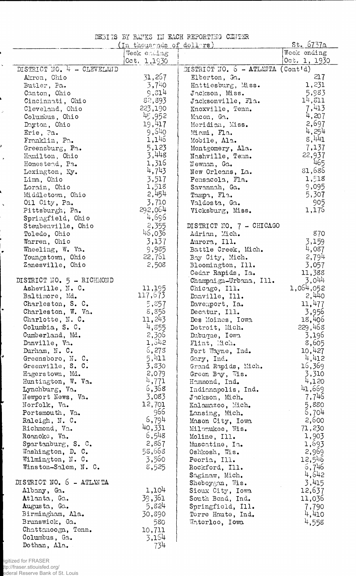|  |  | DEBITS BY BANKS IN EACH REPORTING CENTER |  |
|--|--|------------------------------------------|--|
|  |  |                                          |  |

|                                  | (In thousands of dollars) |                                  | <u>St. 6737a</u> |
|----------------------------------|---------------------------|----------------------------------|------------------|
|                                  | Week ending               |                                  | Week ending      |
|                                  | 0ct. 1,1930               |                                  | Oct. 1, 1930     |
| DISTRICT NO. 4 - CLEVELAID       |                           | DISTRICT NO. $6 - ATLMITA$       | (Contt'd)        |
| Akron, Ohio                      | 31,267                    | Elberton, Ga.                    | 217              |
| Butler, Pa.                      | 3,740                     | Hattiesburg, Miss.               | 1,231            |
| Canton, Ohio                     | 9,314                     | Jackson, Miss.                   | 5,983<br>14, 311 |
| Cincinnati, Ohio                 | 82,893<br>223,190         | Jacksonville, Fla.               | 7,413            |
| Cleveland, Ohio                  | 45,952                    | Knoxville, Tenn.                 | 4,207            |
| Columbus, Ohio                   | 19,417                    | Macon, Ga.                       | 2,697            |
| Dayton, Ohio                     | 9,540                     | Meridian, Miss.                  | 4,254            |
| Erie, Pa.                        | 1,146                     | Miami, Fla.                      | 8,441            |
| Franklin, Pa.                    | 5,123                     | Mobile, Ala.                     | 7,137            |
| Greensburg, Pa.                  | 3,448                     | Montgomery, Ala.                 | 22,937           |
| Hamilton, Ohio                   | 1,316                     | Nashville, Temn.                 | 465              |
| Homestend, Pa.<br>Lexington, Ky. | 4,743                     | Newman, Ga.<br>New Orleans, La.  | 81,686           |
| Lima, Ohio                       | 3,517                     |                                  | 1,518            |
| Lorain, Ohio                     | 1,518                     | Pensacola, Fla.<br>Savannah, Ga. | 9,095            |
| Middletown, Ohio                 | 2,454                     |                                  | 5,307            |
| Oil City, Pa.                    | 3,710                     | Tampa, Fla.<br>Valdosta, Ga.     | 905              |
| Pittsburgh, Pa.                  | 292,064                   | Vicksburg, Miss.                 | 1,176            |
| Springfield, Ohio                | 4,696                     |                                  |                  |
| Steubenville, Ohio               | 2,355                     | DISTRICT NO. 7 - CHICAGO         |                  |
| Toledo, Ohio                     | 46,036                    | Adrian, Mich.                    | 870              |
| Warren, Ohio                     | 3,137                     | Aurora, Ill.                     | 3,159            |
| Wheeling, W. Va.                 | 9,985                     | Battle Creek, Mich.              | 4,087            |
| Youngstown, Ohio                 | 22,761                    | Bay City, Mich.                  | 2,794            |
| Zanesville, Ohio                 | 2,508                     | Bloomington, Ill.                | 3,057            |
|                                  |                           | Cedar Rapids, Ia.                | 11,388           |
| DISTRICT NO. 5 - RICHMOND        |                           | Champaign-Urbana, Ill.           | 3,044            |
| Asheville, N. C.                 | 11,195                    | Chicago, Ill.                    | 1,064,052        |
| Baltimore, Md.                   | 117,673                   | Danville, Ill.                   | 2,440            |
| Charleston, S. C.                | 5,857                     | Davemport, Ia.                   | 11,477           |
| Charleston, W. Va.               | 8,856                     | Decatur, Ill.                    | 3,956            |
| Charlotte, N. C.                 | 11,243                    | Des Moines, Iowa                 | 18,406           |
| Columbia, S. C.                  | 4,855                     | Detroit, Mich.                   |                  |
| Cumberland, Md.                  | 2,306                     | Dubuque, Iowa                    | 229,468<br>3,196 |
| Danville, Va.                    | 1,542                     | Flint, Mich.                     | 8,605            |
| Durham, N. C.                    | 6,273                     | Fort Wayne, Ind.                 | 10,427           |
| Greensboro, N.C.                 | 5,411                     | Gary, Ind.                       | 4,412            |
| Greenville, S. C.                | 3,830                     | Grand Rapids, Mich.              | 16,369           |
| Hagerstown, Md.                  | 2,079                     | Green By, Wis.                   | 3,310            |
| Huntington, W. Va.               | 4,771                     | Hammond, Ind.                    | 4,120            |
| Lynchburg, Va.                   | 6,368                     | Indianapolis, Ind.               | 41,669           |
| Newport News, Va.                | 3,083                     | Juckson, Mich.                   | 7,746            |
| Norfolk, Va.                     | 12,701                    | Kalamazoo, Mich.                 | 5,880            |
| Portsmouth, Va.                  | 966                       | Lansing, Mich.                   | 5,704            |
| Raleigh, N. C.                   | 6,794                     | Mason City, Iowa                 | 2,600            |
| Richmond, Va.                    | 40,331                    | Milwaukee, Wis.                  | 71,230           |
| Roanoke, Va.                     | 6,548                     | Moline, Ill.                     | 1,903            |
| Spartanburg, $S. C.$             | 2,867                     | Muscatine, Ia.                   | 1,693            |
| Washington, D. C.                | 58,668                    | Oshkosh, Wis.                    | 2,969            |
| Wilmington, N.C.                 | 3,560                     | Peoria, Ill.                     | 12,546           |
| Winston-Salem, N. C.             | 8,525                     | Rockford, Ill.                   | 6,746            |
|                                  |                           | Saginaw, Mich.                   | 4,642            |
| DISTRICT NO. 6 - ATLANTA         |                           | Sheboygan, Wis.                  | 3,415            |
| Albany, Ga.                      | 1,104                     | Sioux City, Iowa                 | 12,637           |
| Atlanta, Ga.                     | 39,361                    | South Bend, Ind.                 | 11,036           |
| Augusta, Ga.                     | 5,824                     | Springfield, Ill.                | 7,790            |
| Birmingham, Ala.                 | 30,890                    | Torre Haute, Ind.                | 4,410            |
| Brunswick, Ga.                   | 580                       | Waterloo, Iowa                   | 4,558            |
| Chattanooga, Tenn.               | 10,711                    |                                  |                  |
| Columbus, Ga.                    | 3,154                     |                                  |                  |
| Dothan, $\Lambda 1a$ .           | 734                       |                                  |                  |

igitized for FRASER<br>ttp://fraser.stlouisfed.org/<br>ederal Reserve Bank of St. Louis

 $\mathcal{S}$ 

ł  $\lambda$ 

l

 $\ddot{\phantom{0}}$ 

د